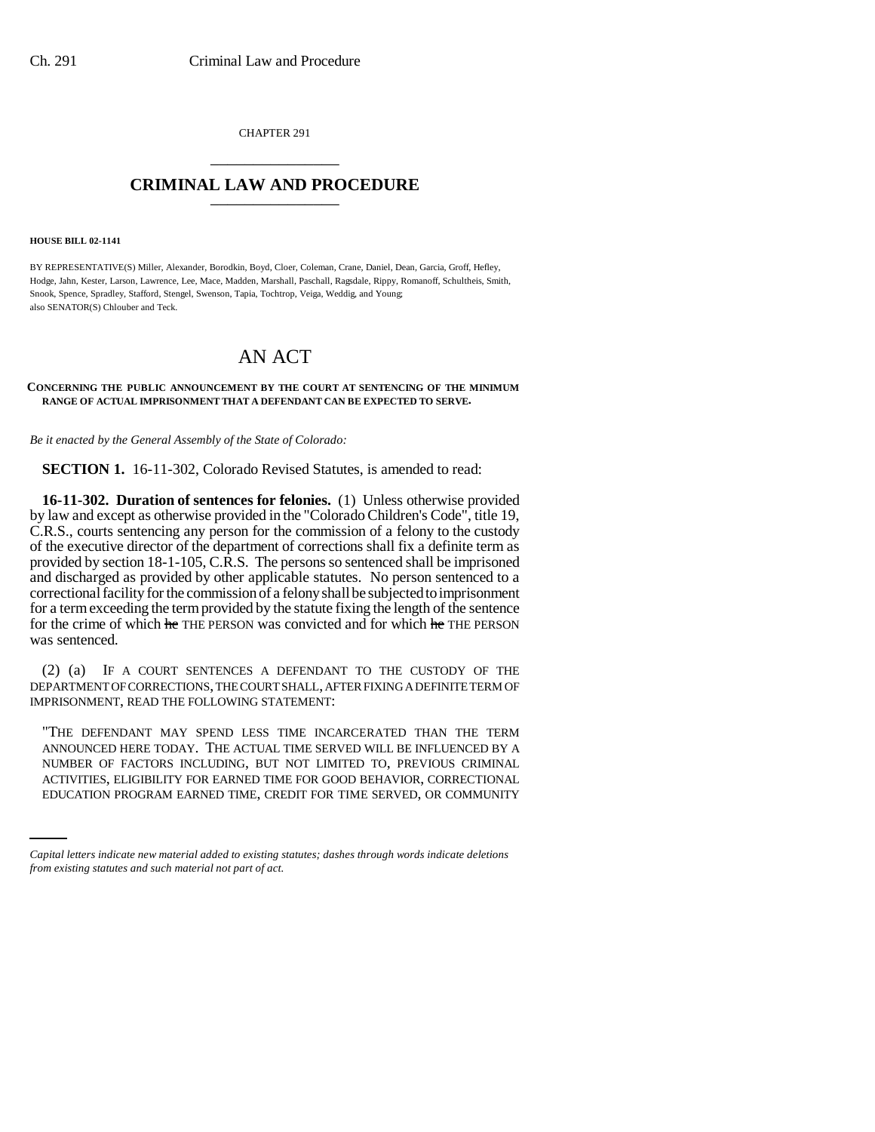CHAPTER 291 \_\_\_\_\_\_\_\_\_\_\_\_\_\_\_

## **CRIMINAL LAW AND PROCEDURE** \_\_\_\_\_\_\_\_\_\_\_\_\_\_\_

**HOUSE BILL 02-1141**

BY REPRESENTATIVE(S) Miller, Alexander, Borodkin, Boyd, Cloer, Coleman, Crane, Daniel, Dean, Garcia, Groff, Hefley, Hodge, Jahn, Kester, Larson, Lawrence, Lee, Mace, Madden, Marshall, Paschall, Ragsdale, Rippy, Romanoff, Schultheis, Smith, Snook, Spence, Spradley, Stafford, Stengel, Swenson, Tapia, Tochtrop, Veiga, Weddig, and Young; also SENATOR(S) Chlouber and Teck.

## AN ACT

## **CONCERNING THE PUBLIC ANNOUNCEMENT BY THE COURT AT SENTENCING OF THE MINIMUM RANGE OF ACTUAL IMPRISONMENT THAT A DEFENDANT CAN BE EXPECTED TO SERVE.**

*Be it enacted by the General Assembly of the State of Colorado:*

**SECTION 1.** 16-11-302, Colorado Revised Statutes, is amended to read:

**16-11-302. Duration of sentences for felonies.** (1) Unless otherwise provided by law and except as otherwise provided in the "Colorado Children's Code", title 19, C.R.S., courts sentencing any person for the commission of a felony to the custody of the executive director of the department of corrections shall fix a definite term as provided by section 18-1-105, C.R.S. The persons so sentenced shall be imprisoned and discharged as provided by other applicable statutes. No person sentenced to a correctional facility for the commission of a felony shall be subjected to imprisonment for a term exceeding the term provided by the statute fixing the length of the sentence for the crime of which he THE PERSON was convicted and for which he THE PERSON was sentenced.

(2) (a) IF A COURT SENTENCES A DEFENDANT TO THE CUSTODY OF THE DEPARTMENT OF CORRECTIONS, THE COURT SHALL, AFTER FIXING A DEFINITE TERM OF IMPRISONMENT, READ THE FOLLOWING STATEMENT:

NUMBER OF FACTORS INCLUDING, BUT NOT LIMITED TO, PREVIOUS CRIMINAL "THE DEFENDANT MAY SPEND LESS TIME INCARCERATED THAN THE TERM ANNOUNCED HERE TODAY. THE ACTUAL TIME SERVED WILL BE INFLUENCED BY A ACTIVITIES, ELIGIBILITY FOR EARNED TIME FOR GOOD BEHAVIOR, CORRECTIONAL EDUCATION PROGRAM EARNED TIME, CREDIT FOR TIME SERVED, OR COMMUNITY

*Capital letters indicate new material added to existing statutes; dashes through words indicate deletions from existing statutes and such material not part of act.*